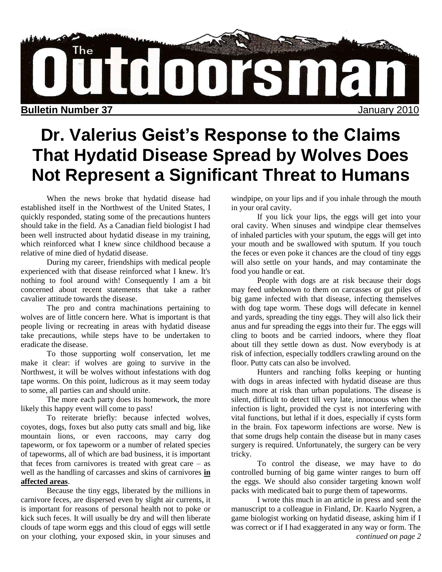

# **Dr. Valerius Geist's Response to the Claims That Hydatid Disease Spread by Wolves Does Not Represent a Significant Threat to Humans**

When the news broke that hydatid disease had established itself in the Northwest of the United States, I quickly responded, stating some of the precautions hunters should take in the field. As a Canadian field biologist I had been well instructed about hydatid disease in my training, which reinforced what I knew since childhood because a relative of mine died of hydatid disease.

During my career, friendships with medical people experienced with that disease reinforced what I knew. It's nothing to fool around with! Consequently I am a bit concerned about recent statements that take a rather cavalier attitude towards the disease.

The pro and contra machinations pertaining to wolves are of little concern here. What is important is that people living or recreating in areas with hydatid disease take precautions, while steps have to be undertaken to eradicate the disease.

To those supporting wolf conservation, let me make it clear: if wolves are going to survive in the Northwest, it will be wolves without infestations with dog tape worms. On this point, ludicrous as it may seem today to some, all parties can and should unite.

The more each party does its homework, the more likely this happy event will come to pass!

To reiterate briefly: because infected wolves, coyotes, dogs, foxes but also putty cats small and big, like mountain lions, or even raccoons, may carry dog tapeworm, or fox tapeworm or a number of related species of tapeworms, all of which are bad business, it is important that feces from carnivores is treated with great care  $-$  as well as the handling of carcasses and skins of carnivores **in affected areas**.

Because the tiny eggs, liberated by the millions in carnivore feces, are dispersed even by slight air currents, it is important for reasons of personal health not to poke or kick such feces. It will usually be dry and will then liberate clouds of tape worm eggs and this cloud of eggs will settle on your clothing, your exposed skin, in your sinuses and windpipe, on your lips and if you inhale through the mouth in your oral cavity.

If you lick your lips, the eggs will get into your oral cavity. When sinuses and windpipe clear themselves of inhaled particles with your sputum, the eggs will get into your mouth and be swallowed with sputum. If you touch the feces or even poke it chances are the cloud of tiny eggs will also settle on your hands, and may contaminate the food you handle or eat.

People with dogs are at risk because their dogs may feed unbeknown to them on carcasses or gut piles of big game infected with that disease, infecting themselves with dog tape worm. These dogs will defecate in kennel and yards, spreading the tiny eggs. They will also lick their anus and fur spreading the eggs into their fur. The eggs will cling to boots and be carried indoors, where they float about till they settle down as dust. Now everybody is at risk of infection, especially toddlers crawling around on the floor. Putty cats can also be involved.

Hunters and ranching folks keeping or hunting with dogs in areas infected with hydatid disease are thus much more at risk than urban populations. The disease is silent, difficult to detect till very late, innocuous when the infection is light, provided the cyst is not interfering with vital functions, but lethal if it does, especially if cysts form in the brain. Fox tapeworm infections are worse. New is that some drugs help contain the disease but in many cases surgery is required. Unfortunately, the surgery can be very tricky.

To control the disease, we may have to do controlled burning of big game winter ranges to burn off the eggs. We should also consider targeting known wolf packs with medicated bait to purge them of tapeworms.

I wrote this much in an article in press and sent the manuscript to a colleague in Finland, Dr. Kaarlo Nygren, a game biologist working on hydatid disease, asking him if I was correct or if I had exaggerated in any way or form. The *continued on page 2*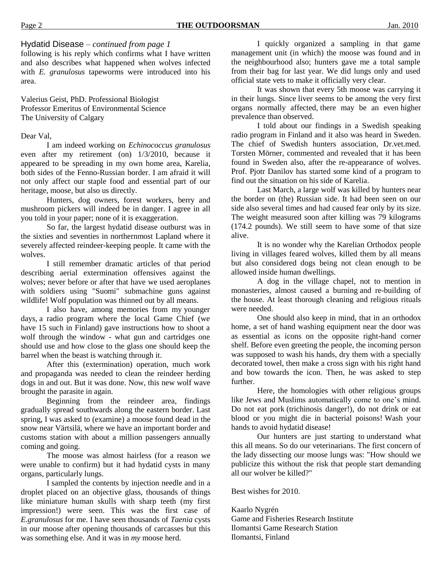Hydatid Disease – *continued from page 1*

following is his reply which confirms what I have written and also describes what happened when wolves infected with *E. granulosus* tapeworms were introduced into his area.

Valerius Geist, PhD. Professional Biologist Professor Emeritus of Environmental Science The University of Calgary

#### Dear Val,

I am indeed working on *Echinococcus granulosus*  even after my retirement (on) 1/3/2010, because it appeared to be spreading in my own home area, Karelia, both sides of the Fenno-Russian border. I am afraid it will not only affect our staple food and essential part of our heritage, moose, but also us directly.

Hunters, dog owners, forest workers, berry and mushroom pickers will indeed be in danger. I agree in all you told in your paper; none of it is exaggeration.

So far, the largest hydatid disease outburst was in the sixties and seventies in northernmost Lapland where it severely affected reindeer-keeping people. It came with the wolves.

I still remember dramatic articles of that period describing aerial extermination offensives against the wolves; never before or after that have we used aeroplanes with soldiers using "Suomi" submachine guns against wildlife! Wolf population was thinned out by all means.

I also have, among memories from my younger days, a radio program where the local Game Chief (we have 15 such in Finland) gave instructions how to shoot a wolf through the window - what gun and cartridges one should use and how close to the glass one should keep the barrel when the beast is watching through it.

After this (extermination) operation, much work and propaganda was needed to clean the reindeer herding dogs in and out. But it was done. Now, this new wolf wave brought the parasite in again.

Beginning from the reindeer area, findings gradually spread southwards along the eastern border. Last spring, I was asked to (examine) a moose found dead in the snow near Värtsilä, where we have an important border and customs station with about a million passengers annually coming and going.

The moose was almost hairless (for a reason we were unable to confirm) but it had hydatid cysts in many organs, particularly lungs.

I sampled the contents by injection needle and in a droplet placed on an objective glass, thousands of things like miniature human skulls with sharp teeth (my first impression!) were seen. This was the first case of *E.granulosus* for me. I have seen thousands of *Taenia* cysts in our moose after opening thousands of carcasses but this was something else. And it was in *my* moose herd.

I quickly organized a sampling in that game management unit (in which) the moose was found and in the neighbourhood also; hunters gave me a total sample from their bag for last year. We did lungs only and used official state vets to make it officially very clear.

It was shown that every 5th moose was carrying it in their lungs. Since liver seems to be among the very first organs normally affected, there may be an even higher prevalence than observed.

I told about our findings in a Swedish speaking radio program in Finland and it also was heard in Sweden. The chief of Swedish hunters association, Dr.vet.med. Torsten Mörner, commented and revealed that it has been found in Sweden also, after the re-appearance of wolves. Prof. Pjotr Danilov has started some kind of a program to find out the situation on his side of Karelia.

Last March, a large wolf was killed by hunters near the border on (the) Russian side. It had been seen on our side also several times and had caused fear only by its size. The weight measured soon after killing was 79 kilograms (174.2 pounds). We still seem to have some of that size alive.

It is no wonder why the Karelian Orthodox people living in villages feared wolves, killed them by all means but also considered dogs being not clean enough to be allowed inside human dwellings.

A dog in the village chapel, not to mention in monasteries, almost caused a burning and re-building of the house. At least thorough cleaning and religious rituals were needed.

One should also keep in mind, that in an orthodox home, a set of hand washing equipment near the door was as essential as icons on the opposite right-hand corner shelf. Before even greeting the people, the incoming person was supposed to wash his hands, dry them with a specially decorated towel, then make a cross sign with his right hand and bow towards the icon. Then, he was asked to step further.

Here, the homologies with other religious groups like Jews and Muslims automatically come to one"s mind. Do not eat pork (trichinosis danger!), do not drink or eat blood or you might die in bacterial poisons! Wash your hands to avoid hydatid disease!

Our hunters are just starting to understand what this all means. So do our veterinarians. The first concern of the lady dissecting our moose lungs was: "How should we publicize this without the risk that people start demanding all our wolver be killed?"

Best wishes for 2010.

Kaarlo Nygrén Game and Fisheries Research Institute Ilomantsi Game Research Station Ilomantsi, Finland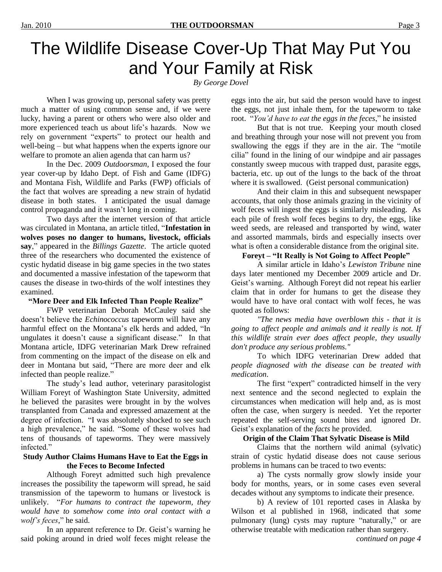# The Wildlife Disease Cover-Up That May Put You and Your Family at Risk

*By George Dovel*

When I was growing up, personal safety was pretty much a matter of using common sense and, if we were lucky, having a parent or others who were also older and more experienced teach us about life"s hazards. Now we rely on government "experts" to protect our health and well-being – but what happens when the experts ignore our welfare to promote an alien agenda that can harm us?

In the Dec. 2009 *Outdoorsman*, I exposed the four year cover-up by Idaho Dept. of Fish and Game (IDFG) and Montana Fish, Wildlife and Parks (FWP) officials of the fact that wolves are spreading a new strain of hydatid disease in both states. I anticipated the usual damage control propaganda and it wasn"t long in coming.

Two days after the internet version of that article was circulated in Montana, an article titled, "**Infestation in wolves poses no danger to humans, livestock, officials say**," appeared in the *Billings Gazette*. The article quoted three of the researchers who documented the existence of cystic hydatid disease in big game species in the two states and documented a massive infestation of the tapeworm that causes the disease in two-thirds of the wolf intestines they examined.

### **"More Deer and Elk Infected Than People Realize"**

FWP veterinarian Deborah McCauley said she doesn"t believe the *Echinococcus* tapeworm will have any harmful effect on the Montana's elk herds and added, "In ungulates it doesn"t cause a significant disease." In that Montana article, IDFG veterinarian Mark Drew refrained from commenting on the impact of the disease on elk and deer in Montana but said, "There are more deer and elk infected than people realize."

The study"s lead author, veterinary parasitologist William Foreyt of Washington State University, admitted he believed the parasites were brought in by the wolves transplanted from Canada and expressed amazement at the degree of infection. "I was absolutely shocked to see such a high prevalence," he said. "Some of these wolves had tens of thousands of tapeworms. They were massively infected."

#### **Study Author Claims Humans Have to Eat the Eggs in the Feces to Become Infected**

Although Foreyt admitted such high prevalence increases the possibility the tapeworm will spread, he said transmission of the tapeworm to humans or livestock is unlikely. "*For humans to contract the tapeworm, they would have to somehow come into oral contact with a wolf's feces*," he said.

In an apparent reference to Dr. Geist's warning he said poking around in dried wolf feces might release the eggs into the air, but said the person would have to ingest the eggs, not just inhale them, for the tapeworm to take root. "*You'd have to eat the eggs in the feces*," he insisted

But that is not true. Keeping your mouth closed and breathing through your nose will not prevent you from swallowing the eggs if they are in the air. The "motile cilia" found in the lining of our windpipe and air passages constantly sweep mucous with trapped dust, parasite eggs, bacteria, etc. up out of the lungs to the back of the throat where it is swallowed. (Geist personal communication)

And their claim in this and subsequent newspaper accounts, that only those animals grazing in the vicinity of wolf feces will ingest the eggs is similarly misleading. As each pile of fresh wolf feces begins to dry, the eggs, like weed seeds, are released and transported by wind, water and assorted mammals, birds and especially insects over what is often a considerable distance from the original site.

### **Foreyt – "It Really is Not Going to Affect People"**

A similar article in Idaho"s *Lewiston Tribune* nine days later mentioned my December 2009 article and Dr. Geist"s warning. Although Foreyt did not repeat his earlier claim that in order for humans to get the disease they would have to have oral contact with wolf feces, he was quoted as follows:

*"The news media have overblown this - that it is going to affect people and animals and it really is not. If this wildlife strain ever does affect people, they usually don't produce any serious problems."* 

To which IDFG veterinarian Drew added that *people diagnosed with the disease can be treated with medication*.

The first "expert" contradicted himself in the very next sentence and the second neglected to explain the circumstances when medication will help and, as is most often the case, when surgery is needed. Yet the reporter repeated the self-serving sound bites and ignored Dr. Geist"s explanation of the *facts* he provided.

### **Origin of the Claim That Sylvatic Disease is Mild**

Claims that the northern wild animal (sylvatic) strain of cystic hydatid disease does not cause serious problems in humans can be traced to two events:

a) The cysts normally grow slowly inside your body for months, years, or in some cases even several decades without any symptoms to indicate their presence.

b) A review of 101 reported cases in Alaska by Wilson et al published in 1968, indicated that *some* pulmonary (lung) cysts may rupture "naturally," or are otherwise treatable with medication rather than surgery.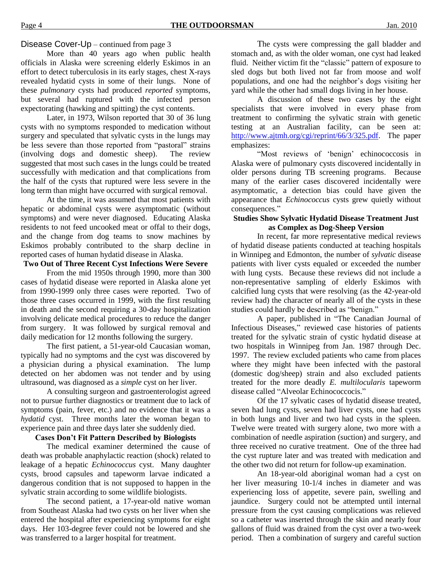### Disease Cover-Up – continued from page 3

More than 40 years ago when public health officials in Alaska were screening elderly Eskimos in an effort to detect tuberculosis in its early stages, chest X-rays revealed hydatid cysts in some of their lungs. None of these *pulmonary* cysts had produced *reported* symptoms, but several had ruptured with the infected person expectorating (hawking and spitting) the cyst contents.

Later, in 1973, Wilson reported that 30 of 36 lung cysts with no symptoms responded to medication without surgery and speculated that sylvatic cysts in the lungs may be less severe than those reported from "pastoral" strains (involving dogs and domestic sheep). The review suggested that most such cases in the lungs could be treated successfully with medication and that complications from the half of the cysts that ruptured were less severe in the long term than might have occurred with surgical removal.

At the time, it was assumed that most patients with hepatic or abdominal cysts were asymptomatic (without symptoms) and were never diagnosed. Educating Alaska residents to not feed uncooked meat or offal to their dogs, and the change from dog teams to snow machines by Eskimos probably contributed to the sharp decline in reported cases of human hydatid disease in Alaska.

### **Two Out of Three Recent Cyst Infections Were Severe**

From the mid 1950s through 1990, more than 300 cases of hydatid disease were reported in Alaska alone yet from 1990-1999 only three cases were reported. Two of those three cases occurred in 1999, with the first resulting in death and the second requiring a 30-day hospitalization involving delicate medical procedures to reduce the danger from surgery. It was followed by surgical removal and daily medication for 12 months following the surgery.

The first patient, a 51-year-old Caucasian woman, typically had no symptoms and the cyst was discovered by a physician during a physical examination. The lump detected on her abdomen was not tender and by using ultrasound, was diagnosed as a *simple* cyst on her liver.

A consulting surgeon and gastroenterologist agreed not to pursue further diagnostics or treatment due to lack of symptoms (pain, fever, etc.) and no evidence that it was a *hydatid* cyst. Three months later the woman began to experience pain and three days later she suddenly died.

## **Cases Don't Fit Pattern Described by Biologists**

The medical examiner determined the cause of death was probable anaphylactic reaction (shock) related to leakage of a hepatic *Echinococcus* cyst. Many daughter cysts, brood capsules and tapeworm larvae indicated a dangerous condition that is not supposed to happen in the sylvatic strain according to some wildlife biologists.

The second patient, a 17-year-old native woman from Southeast Alaska had two cysts on her liver when she entered the hospital after experiencing symptoms for eight days. Her 103-degree fever could not be lowered and she was transferred to a larger hospital for treatment.

The cysts were compressing the gall bladder and stomach and, as with the older woman, one cyst had leaked fluid. Neither victim fit the "classic" pattern of exposure to sled dogs but both lived not far from moose and wolf populations, and one had the neighbor"s dogs visiting her yard while the other had small dogs living in her house.

A discussion of these two cases by the eight specialists that were involved in every phase from treatment to confirming the sylvatic strain with genetic testing at an Australian facility, can be seen at: [http://www.ajtmh.org/cgi/reprint/66/3/325.pdf.](http://www.ajtmh.org/cgi/reprint/66/3/325.pdf) The paper emphasizes:

"Most reviews of "benign" echinococcosis in Alaska were of pulmonary cysts discovered incidentally in older persons during TB screening programs. Because many of the earlier cases discovered incidentally were asymptomatic, a detection bias could have given the appearance that *Echinococcus* cysts grew quietly without consequences."

#### **Studies Show Sylvatic Hydatid Disease Treatment Just as Complex as Dog-Sheep Version**

In recent, far more representative medical reviews of hydatid disease patients conducted at teaching hospitals in Winnipeg and Edmonton, the number of *sylvatic* disease patients with liver cysts equaled or exceeded the number with lung cysts. Because these reviews did not include a non-representative sampling of elderly Eskimos with calcified lung cysts that were resolving (as the 42-year-old review had) the character of nearly all of the cysts in these studies could hardly be described as "benign."

A paper, published in "The Canadian Journal of Infectious Diseases," reviewed case histories of patients treated for the sylvatic strain of cystic hydatid disease at two hospitals in Winnipeg from Jan. 1987 through Dec. 1997. The review excluded patients who came from places where they might have been infected with the pastoral (domestic dog/sheep) strain and also excluded patients treated for the more deadly *E. multilocularis* tapeworm disease called "Alveolar Echinococcocis."

Of the 17 sylvatic cases of hydatid disease treated, seven had lung cysts, seven had liver cysts, one had cysts in both lungs and liver and two had cysts in the spleen. Twelve were treated with surgery alone, two more with a combination of needle aspiration (suction) and surgery, and three received no curative treatment. One of the three had the cyst rupture later and was treated with medication and the other two did not return for follow-up examination.

An 18-year-old aboriginal woman had a cyst on her liver measuring 10-1/4 inches in diameter and was experiencing loss of appetite, severe pain, swelling and jaundice. Surgery could not be attempted until internal pressure from the cyst causing complications was relieved so a catheter was inserted through the skin and nearly four gallons of fluid was drained from the cyst over a two-week period. Then a combination of surgery and careful suction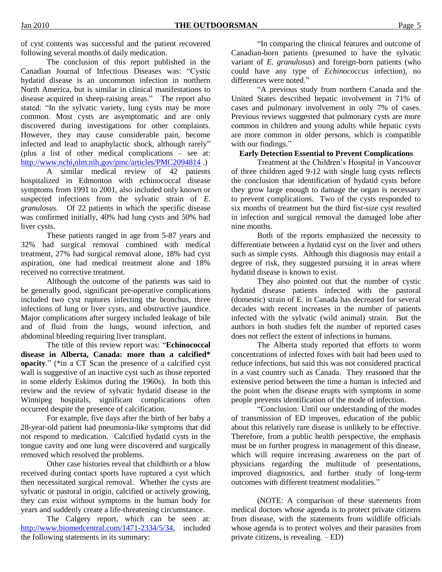of cyst contents was successful and the patient recovered following several months of daily medication.

The conclusion of this report published in the Canadian Journal of Infectious Diseases was: "Cystic hydatid disease is an uncommon infection in northern North America, but is similar in clinical manifestations to disease acquired in sheep-raising areas." The report also stated: "In the sylvatic variety, lung cysts may be more common. Most cysts are asymptomatic and are only discovered during investigations for other complaints. However, they may cause considerable pain, become infected and lead to anaphylactic shock, although rarely" (plus a list of other medical complications – see at: <http://www.ncbi,nlm.nih.gov/pmc/articles/PMC2094814>.)

A similar medical review of 42 patients hospitalized in Edmonton with echinococcal disease symptoms from 1991 to 2001, also included only known or suspected infections from the sylvatic strain of *E. granulosus.* Of 22 patients in which the specific disease was confirmed initially, 40% had lung cysts and 50% had liver cysts.

These patients ranged in age from 5-87 years and 32% had surgical removal combined with medical treatment, 27% had surgical removal alone, 18% had cyst aspiration, one had medical treatment alone and 18% received no corrective treatment.

Although the outcome of the patients was said to be generally good, significant pre-operative complications included two cyst ruptures infecting the bronchus, three infections of lung or liver cysts, and obstructive jaundice. Major complications after surgery included leakage of bile and of fluid from the lungs, wound infection, and abdominal bleeding requiring liver transplant.

The title of this review report was: "**Echinococcal disease in Alberta, Canada: more than a calcified\* opacity**." (\*in a CT Scan the presence of a calcified cyst wall is suggestive of an inactive cyst such as those reported in some elderly Eskimos during the 1960s). In both this review and the review of sylvatic hydatid disease in the Winnipeg hospitals, significant complications often occurred despite the presence of calcification.

For example, five days after the birth of her baby a 28-year-old patient had pneumonia-like symptoms that did not respond to medication. Calcified hydatid cysts in the tongue cavity and one lung were discovered and surgically removed which resolved the problems.

Other case histories reveal that childbirth or a blow received during contact sports have ruptured a cyst which then necessitated surgical removal. Whether the cysts are sylvatic or pastoral in origin, calcified or actively growing, they can exist without symptoms in the human body for years and suddenly create a life-threatening circumstance.

The Calgery report, which can be seen at: [http://www.biomedcentral.com/1471-2334/5/34,](http://www.biomedcentral.com/1471-2334/5/34) included the following statements in its summary:

"In comparing the clinical features and outcome of Canadian-born patients (presumed to have the sylvatic variant of *E. granulosus*) and foreign-born patients (who could have any type of *Echinococcus* infection), no differences were noted."

"A previous study from northern Canada and the United States described hepatic involvement in 71% of cases and pulmonary involvement in only 7% of cases. Previous reviews suggested that pulmonary cysts are more common in children and young adults while hepatic cysts are more common in older persons, which is compatible with our findings."

#### **Early Detection Essential to Prevent Complications**

Treatment at the Children"s Hospital in Vancouver of three children aged 9-12 with single lung cysts reflects the conclusion that identification of hydatid cysts before they grow large enough to damage the organ is necessary to prevent complications. Two of the cysts responded to six months of treatment but the third fist-size cyst resulted in infection and surgical removal the damaged lobe after nine months.

Both of the reports emphasized the necessity to differentiate between a hydatid cyst on the liver and others such as simple cysts. Although this diagnosis may entail a degree of risk, they suggested pursuing it in areas where hydatid disease is known to exist.

They also pointed out that the number of cystic hydatid disease patients infected with the pastoral (domestic) strain of E. in Canada has decreased for several decades with recent increases in the number of patients infected with the sylvatic (wild animal) strain. But the authors in both studies felt the number of reported cases does not reflect the extent of infections in humans.

The Alberta study reported that efforts to worm concentrations of infected foxes with bait had been used to reduce infections, but said this was not considered practical in a vast country such as Canada. They reasoned that the extensive period between the time a human is infected and the point when the disease erupts with symptoms in some people prevents identification of the mode of infection.

"Conclusion: Until our understanding of the modes of transmission of ED improves, education of the public about this relatively rare disease is unlikely to be effective. Therefore, from a public health perspective, the emphasis must be on further progress in management of this disease, which will require increasing awareness on the part of physicians regarding the multitude of presentations, improved diagnostics, and further study of long-term outcomes with different treatment modalities."

(NOTE: A comparison of these statements from medical doctors whose agenda is to protect private citizens from disease, with the statements from wildlife officials whose agenda is to protect wolves and their parasites from private citizens, is revealing. – ED)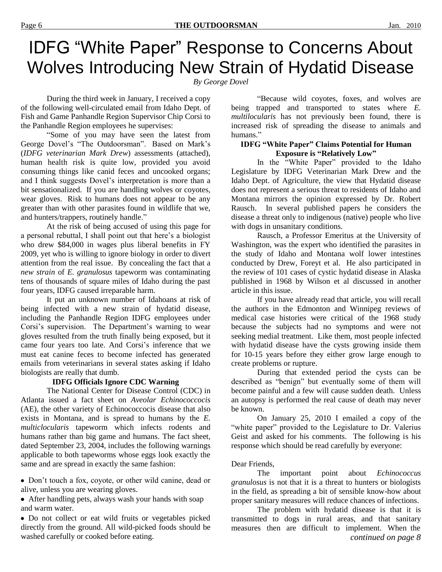## IDFG "White Paper" Response to Concerns About Wolves Introducing New Strain of Hydatid Disease

*By George Dovel*

During the third week in January, I received a copy of the following well-circulated email from Idaho Dept. of Fish and Game Panhandle Region Supervisor Chip Corsi to the Panhandle Region employees he supervises:

"Some of you may have seen the latest from George Dovel"s "The Outdoorsman". Based on Mark"s (*IDFG veterinarian Mark Drew*) assessments (attached), human health risk is quite low, provided you avoid consuming things like canid feces and uncooked organs; and I think suggests Dovel"s interpretation is more than a bit sensationalized. If you are handling wolves or coyotes, wear gloves. Risk to humans does not appear to be any greater than with other parasites found in wildlife that we, and hunters/trappers, routinely handle."

At the risk of being accused of using this page for a personal rebuttal, I shall point out that here"s a biologist who drew \$84,000 in wages plus liberal benefits in FY 2009, yet who is willing to ignore biology in order to divert attention from the real issue. By concealing the fact that a *new strain* of *E. granulosus* tapeworm was contaminating tens of thousands of square miles of Idaho during the past four years, IDFG caused irreparable harm.

It put an unknown number of Idahoans at risk of being infected with a new strain of hydatid disease, including the Panhandle Region IDFG employees under Corsi's supervision. The Department's warning to wear gloves resulted from the truth finally being exposed, but it came four years too late. And Corsi"s inference that we must eat canine feces to become infected has generated emails from veterinarians in several states asking if Idaho biologists are really that dumb.

#### **IDFG Officials Ignore CDC Warning**

The National Center for Disease Control (CDC) in Atlanta issued a fact sheet on *Aveolar Echinococcocis* (AE), the other variety of Echinococcocis disease that also exists in Montana, and is spread to humans by the *E. multiclocularis* tapeworm which infects rodents and humans rather than big game and humans. The fact sheet, dated September 23, 2004, includes the following warnings applicable to both tapeworms whose eggs look exactly the same and are spread in exactly the same fashion:

Don"t touch a fox, coyote, or other wild canine, dead or alive, unless you are wearing gloves.

After handling pets, always wash your hands with soap and warm water.

Do not collect or eat wild fruits or vegetables picked directly from the ground. All wild-picked foods should be washed carefully or cooked before eating.

"Because wild coyotes, foxes, and wolves are being trapped and transported to states where *E. multilocularis* has not previously been found, there is increased risk of spreading the disease to animals and humans."

#### **IDFG "White Paper" Claims Potential for Human Exposure is "Relatively Low"**

In the "White Paper" provided to the Idaho Legislature by IDFG Veterinarian Mark Drew and the Idaho Dept. of Agriculture, the view that Hydatid disease does not represent a serious threat to residents of Idaho and Montana mirrors the opinion expressed by Dr. Robert Rausch. In several published papers he considers the disease a threat only to indigenous (native) people who live with dogs in unsanitary conditions.

Rausch, a Professor Emeritus at the University of Washington, was the expert who identified the parasites in the study of Idaho and Montana wolf lower intestines conducted by Drew, Foreyt et al. He also participated in the review of 101 cases of cystic hydatid disease in Alaska published in 1968 by Wilson et al discussed in another article in this issue.

If you have already read that article, you will recall the authors in the Edmonton and Winnipeg reviews of medical case histories were critical of the 1968 study because the subjects had no symptoms and were not seeking medial treatment. Like them, most people infected with hydatid disease have the cysts growing inside them for 10-15 years before they either grow large enough to create problems or rupture.

During that extended period the cysts can be described as "benign" but eventually some of them will become painful and a few will cause sudden death. Unless an autopsy is performed the real cause of death may never be known.

On January 25, 2010 I emailed a copy of the "white paper" provided to the Legislature to Dr. Valerius Geist and asked for his comments. The following is his response which should be read carefully by everyone:

#### Dear Friends,

The important point about *Echinococcus granulosus* is not that it is a threat to hunters or biologists in the field, as spreading a bit of sensible know-how about proper sanitary measures will reduce chances of infections.

The problem with hydatid disease is that it is transmitted to dogs in rural areas, and that sanitary measures then are difficult to implement. When the *continued on page 8*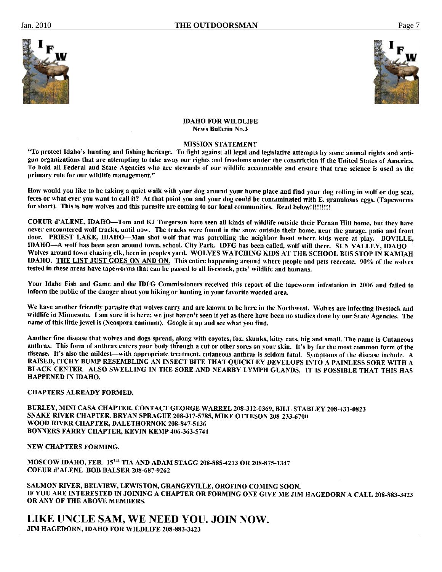



**IDAHO FOR WILDLIFE News Bulletin No.3** 

#### **MISSION STATEMENT**

"To protect Idaho's hunting and fishing heritage. To fight against all legal and legislative attempts by some animal rights and antigun organizations that are attempting to take away our rights and freedoms under the constriction if the United States of America. To hold all Federal and State Agencies who are stewards of our wildlife accountable and ensure that true science is used as the primary role for our wildlife management."

How would you like to be taking a quiet walk with your dog around your home place and find your dog rolling in wolf or dog scat, feces or what ever you want to call it? At that point you and your dog could be contaminated with E. granulosus eggs. (Tapeworms for short). This is how wolves and this parasite are coming to our local communities. Read below!!!!!!!!!

COEUR d'ALENE, IDAHO-Tom and KJ Torgerson have seen all kinds of wildlife outside their Fernan Hill home, but they have never encountered wolf tracks, until now. The tracks were found in the snow outside their home, near the garage, patio and front door. PRIEST LAKE, IDAHO—Man shot wolf that was patrolling the neighbor hood where kids were at play. BOVILLE, IDAHO—A wolf has been seen around town, school, City Park. IDFG has been called, wolf still there. SUN VALLEY, IDAHO— Wolves around town chasing elk, been in peoples yard. WOLVES WATCHING KIDS AT THE SCHOOL BUS STOP IN KAMIAH **IDAHO.** THE LIST JUST GOES ON AND ON. This entire happening around where people and pets recreate. 90% of the wolves tested in these areas have tapeworms that can be passed to all livestock, pets' wildlife and humans.

Your Idaho Fish and Game and the IDFG Commissioners received this report of the tapeworm infestation in 2006 and failed to inform the public of the danger about you hiking or hunting in your favorite wooded area.

We have another friendly parasite that wolves carry and are known to be here in the Northwest. Wolves are infecting livestock and wildlife in Minnesota. I am sure it is here; we just haven't seen it yet as there have been no studies done by our State Agencies. The name of this little jewel is (Neospora caninum). Google it up and see what you find.

Another fine disease that wolves and dogs spread, along with coyotes, fox, skunks, kitty cats, big and small. The name is Cutaneous anthrax. This form of anthrax enters your body through a cut or other sores on your skin. It's by far the most common form of the disease. It's also the mildest—with appropriate treatment, cutaneous anthras is seldom fatal. Symptoms of the disease include. A RAISED, ITCHY BUMP RESEMBLING AN INSECT BITE THAT QUICKLEY DEVELOPS INTO A PAINLESS SORE WITH A BLACK CENTER. ALSO SWELLING IN THE SORE AND NEARBY LYMPH GLANDS. IT IS POSSIBLE THAT THIS HAS **HAPPENED IN IDAHO.** 

#### **CHAPTERS ALREADY FORMED.**

BURLEY, MINI CASA CHAPTER. CONTACT GEORGE WARREL 208-312-0369, BILL STABLEY 208-431-0823 SNAKE RIVER CHAPTER. BRYAN SPRAGUE 208-317-5785, MIKE OTTESON 208-233-6700 WOOD RIVER CHAPTER, DALETHORNOK 208-847-5136 BONNERS FARRY CHAPTER, KEVIN KEMP 406-363-5741

**NEW CHAPTERS FORMING.** 

MOSCOW IDAHO, FEB. 15TH TIA AND ADAM STAGG 208-885-4213 OR 208-875-1347 **COEUR d'ALENE BOB BALSER 208-687-9262** 

SALMON RIVER, BELVIEW, LEWISTON, GRANGEVILLE, OROFINO COMING SOON. IF YOU ARE INTERESTED IN JOINING A CHAPTER OR FORMING ONE GIVE ME JIM HAGEDORN A CALL 208-883-3423 OR ANY OF THE ABOVE MEMBERS.

LIKE UNCLE SAM, WE NEED YOU. JOIN NOW. JIM HAGEDORN, IDAHO FOR WILDLIFE 208-883-3423